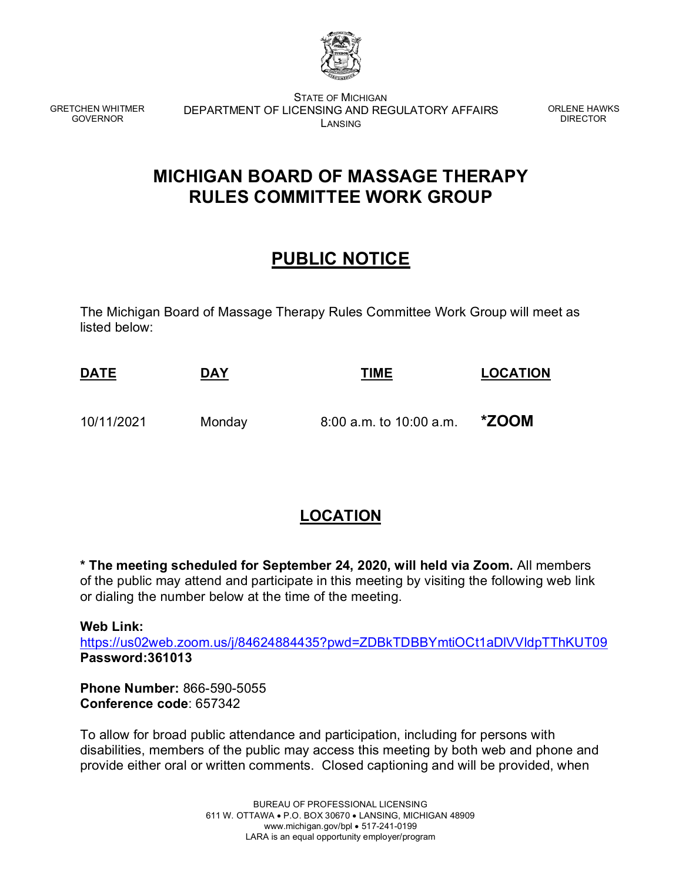

GRETCHEN WHITMER GOVERNOR

STATE OF MICHIGAN DEPARTMENT OF LICENSING AND REGULATORY AFFAIRS LANSING

ORLENE HAWKS DIRECTOR

## **MICHIGAN BOARD OF MASSAGE THERAPY RULES COMMITTEE WORK GROUP**

## **PUBLIC NOTICE**

The Michigan Board of Massage Therapy Rules Committee Work Group will meet as listed below:

| <u>DATE</u> | <b>DAY</b> | TIME                      | <b>LOCATION</b> |
|-------------|------------|---------------------------|-----------------|
| 10/11/2021  | Monday     | $8:00$ a.m. to 10:00 a.m. | *ZOOM           |

## **LOCATION**

**\* The meeting scheduled for September 24, 2020, will held via Zoom.** All members of the public may attend and participate in this meeting by visiting the following web link or dialing the number below at the time of the meeting.

**Web Link:**

<https://us02web.zoom.us/j/84624884435?pwd=ZDBkTDBBYmtiOCt1aDlVVldpTThKUT09> **Password:361013**

**Phone Number:** 866-590-5055 **Conference code**: 657342

To allow for broad public attendance and participation, including for persons with disabilities, members of the public may access this meeting by both web and phone and provide either oral or written comments. Closed captioning and will be provided, when

> BUREAU OF PROFESSIONAL LICENSING 611 W. OTTAWA • P.O. BOX 30670 • LANSING, MICHIGAN 48909 www.michigan.gov/bpl • 517-241-0199 LARA is an equal opportunity employer/program